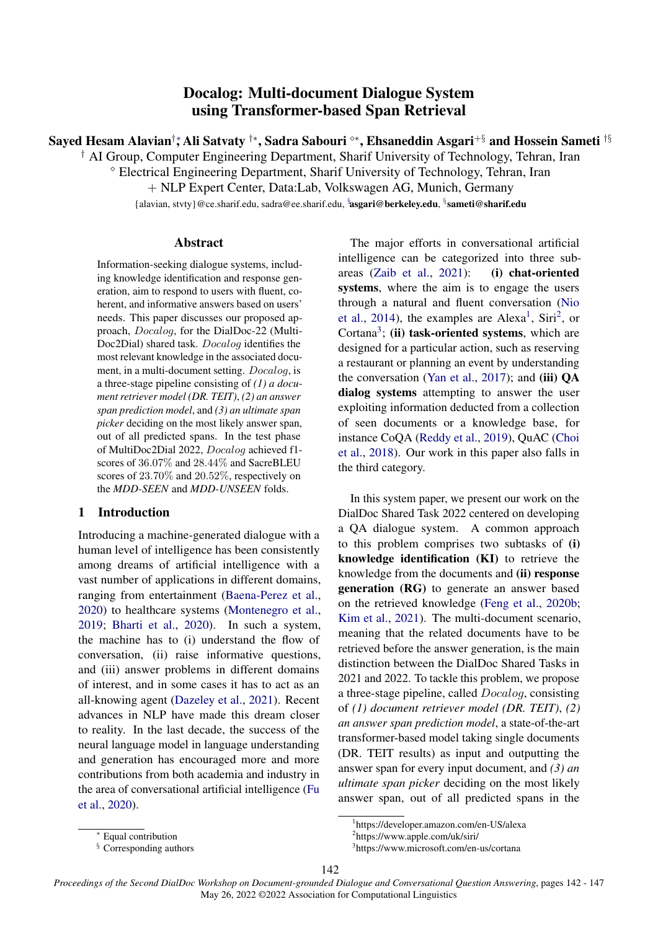# Docalog: Multi-document Dialogue System using Transformer-based Span Retrieval

<span id="page-0-0"></span>Sayed Hesam Alavian†\*, Ali Satvaty †\*, Sadra Sabouri °\*, Ehsaneddin Asgari<sup>+§</sup> and Hossein Sameti <sup>†§</sup>

† AI Group, Computer Engineering Department, Sharif University of Technology, Tehran, Iran

<sup>⋄</sup> Electrical Engineering Department, Sharif University of Technology, Tehran, Iran

+ NLP Expert Center, Data:Lab, Volkswagen AG, Munich, Germany

{alavian, stvty}@ce.sharif.edu, sadra@ee.sharif.edu, <sup>s</sup>asgari@berkeley.edu, <sup>s</sup>sameti@sharif.edu

#### Abstract

Information-seeking dialogue systems, including knowledge identification and response generation, aim to respond to users with fluent, coherent, and informative answers based on users' needs. This paper discusses our proposed approach, Docalog, for the DialDoc-22 (Multi-Doc2Dial) shared task. Docalog identifies the most relevant knowledge in the associated document, in a multi-document setting. Docalog, is a three-stage pipeline consisting of *(1) a document retriever model (DR. TEIT)*, *(2) an answer span prediction model*, and *(3) an ultimate span picker* deciding on the most likely answer span, out of all predicted spans. In the test phase of MultiDoc2Dial 2022, Docalog achieved f1 scores of 36.07% and 28.44% and SacreBLEU scores of 23.70% and 20.52%, respectively on the *MDD-SEEN* and *MDD-UNSEEN* folds.

# 1 Introduction

Introducing a machine-generated dialogue with a human level of intelligence has been consistently among dreams of artificial intelligence with a vast number of applications in different domains, ranging from entertainment [\(Baena-Perez et al.,](#page-3-0) [2020\)](#page-3-0) to healthcare systems [\(Montenegro et al.,](#page-4-0) [2019;](#page-4-0) [Bharti et al.,](#page-3-1) [2020\)](#page-3-1). In such a system, the machine has to (i) understand the flow of conversation, (ii) raise informative questions, and (iii) answer problems in different domains of interest, and in some cases it has to act as an all-knowing agent [\(Dazeley et al.,](#page-4-1) [2021\)](#page-4-1). Recent advances in NLP have made this dream closer to reality. In the last decade, the success of the neural language model in language understanding and generation has encouraged more and more contributions from both academia and industry in the area of conversational artificial intelligence [\(Fu](#page-4-2) [et al.,](#page-4-2) [2020\)](#page-4-2).

The major efforts in conversational artificial intelligence can be categorized into three subareas [\(Zaib et al.,](#page-5-0) [2021\)](#page-5-0): (i) chat-oriented systems, where the aim is to engage the users through a natural and fluent conversation [\(Nio](#page-4-3) [et al.,](#page-4-3) [2014\)](#page-4-3), the examples are Alexa<sup>[1](#page-0-1)</sup>, Siri<sup>[2](#page-0-2)</sup>, or Cortana<sup>[3](#page-0-3)</sup>; (ii) task-oriented systems, which are designed for a particular action, such as reserving a restaurant or planning an event by understanding the conversation [\(Yan et al.,](#page-5-1) [2017\)](#page-5-1); and (iii)  $QA$ dialog systems attempting to answer the user exploiting information deducted from a collection of seen documents or a knowledge base, for instance CoQA [\(Reddy et al.,](#page-4-4) [2019\)](#page-4-4), QuAC [\(Choi](#page-4-5) [et al.,](#page-4-5) [2018\)](#page-4-5). Our work in this paper also falls in the third category.

In this system paper, we present our work on the DialDoc Shared Task 2022 centered on developing a QA dialogue system. A common approach to this problem comprises two subtasks of (i) knowledge identification (KI) to retrieve the knowledge from the documents and (ii) response generation (RG) to generate an answer based on the retrieved knowledge [\(Feng et al.,](#page-4-6) [2020b;](#page-4-6) [Kim et al.,](#page-4-7) [2021\)](#page-4-7). The multi-document scenario, meaning that the related documents have to be retrieved before the answer generation, is the main distinction between the DialDoc Shared Tasks in 2021 and 2022. To tackle this problem, we propose a three-stage pipeline, called Docalog, consisting of *(1) document retriever model (DR. TEIT)*, *(2) an answer span prediction model*, a state-of-the-art transformer-based model taking single documents (DR. TEIT results) as input and outputting the answer span for every input document, and *(3) an ultimate span picker* deciding on the most likely answer span, out of all predicted spans in the

<span id="page-0-1"></span><sup>1</sup> https://developer.amazon.com/en-US/alexa

<span id="page-0-3"></span><span id="page-0-2"></span><sup>2</sup> https://www.apple.com/uk/siri/

<sup>3</sup> https://www.microsoft.com/en-us/cortana

<sup>142</sup>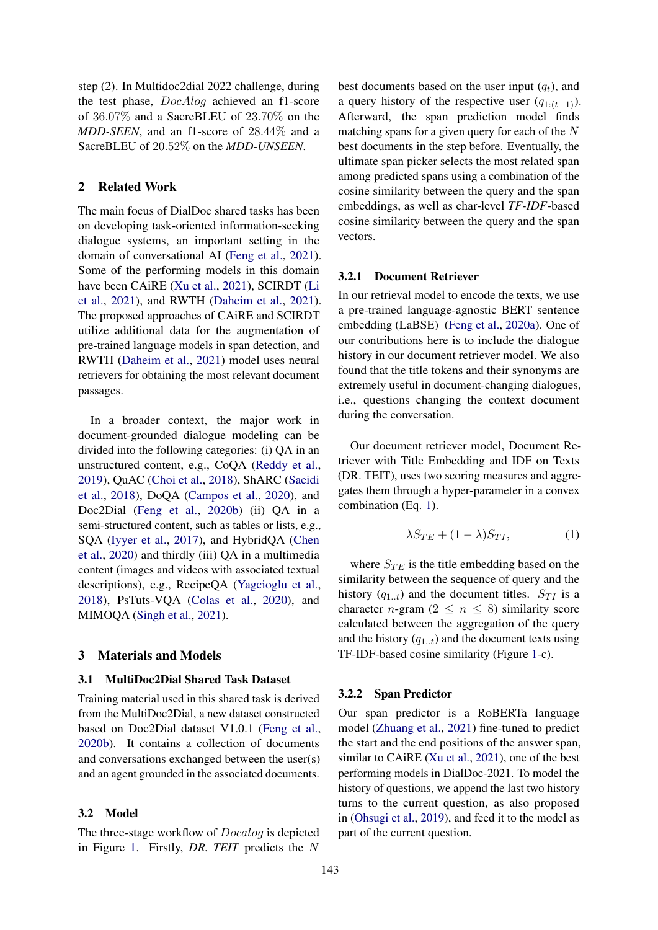step (2). In Multidoc2dial 2022 challenge, during the test phase, DocAlog achieved an f1-score of 36.07% and a SacreBLEU of 23.70% on the *MDD-SEEN*, and an f1-score of 28.44% and a SacreBLEU of 20.52% on the *MDD-UNSEEN*.

# 2 Related Work

The main focus of DialDoc shared tasks has been on developing task-oriented information-seeking dialogue systems, an important setting in the domain of conversational AI [\(Feng et al.,](#page-4-8) [2021\)](#page-4-8). Some of the performing models in this domain have been CAiRE [\(Xu et al.,](#page-5-2) [2021\)](#page-5-2), SCIRDT [\(Li](#page-4-9) [et al.,](#page-4-9) [2021\)](#page-4-9), and RWTH [\(Daheim et al.,](#page-4-10) [2021\)](#page-4-10). The proposed approaches of CAiRE and SCIRDT utilize additional data for the augmentation of pre-trained language models in span detection, and RWTH [\(Daheim et al.,](#page-4-10) [2021\)](#page-4-10) model uses neural retrievers for obtaining the most relevant document passages.

In a broader context, the major work in document-grounded dialogue modeling can be divided into the following categories: (i) QA in an unstructured content, e.g., CoQA [\(Reddy et al.,](#page-4-4) [2019\)](#page-4-4), QuAC [\(Choi et al.,](#page-4-5) [2018\)](#page-4-5), ShARC [\(Saeidi](#page-4-11) [et al.,](#page-4-11) [2018\)](#page-4-11), DoQA [\(Campos et al.,](#page-3-2) [2020\)](#page-3-2), and Doc2Dial [\(Feng et al.,](#page-4-6) [2020b\)](#page-4-6) (ii) QA in a semi-structured content, such as tables or lists, e.g., SQA [\(Iyyer et al.,](#page-4-12) [2017\)](#page-4-12), and HybridQA [\(Chen](#page-4-13) [et al.,](#page-4-13) [2020\)](#page-4-13) and thirdly (iii) QA in a multimedia content (images and videos with associated textual descriptions), e.g., RecipeQA [\(Yagcioglu et al.,](#page-5-3) [2018\)](#page-5-3), PsTuts-VQA [\(Colas et al.,](#page-4-14) [2020\)](#page-4-14), and MIMOQA [\(Singh et al.,](#page-5-4) [2021\)](#page-5-4).

#### 3 Materials and Models

#### 3.1 MultiDoc2Dial Shared Task Dataset

Training material used in this shared task is derived from the MultiDoc2Dial, a new dataset constructed based on Doc2Dial dataset V1.0.1 [\(Feng et al.,](#page-4-6) [2020b\)](#page-4-6). It contains a collection of documents and conversations exchanged between the user(s) and an agent grounded in the associated documents.

#### 3.2 Model

The three-stage workflow of Docalog is depicted in Figure [1.](#page-2-0) Firstly, *DR. TEIT* predicts the N

best documents based on the user input  $(q_t)$ , and a query history of the respective user  $(q_{1:(t-1)})$ . Afterward, the span prediction model finds matching spans for a given query for each of the N best documents in the step before. Eventually, the ultimate span picker selects the most related span among predicted spans using a combination of the cosine similarity between the query and the span embeddings, as well as char-level *TF-IDF*-based cosine similarity between the query and the span vectors.

#### 3.2.1 Document Retriever

In our retrieval model to encode the texts, we use a pre-trained language-agnostic BERT sentence embedding (LaBSE) [\(Feng et al.,](#page-4-15) [2020a\)](#page-4-15). One of our contributions here is to include the dialogue history in our document retriever model. We also found that the title tokens and their synonyms are extremely useful in document-changing dialogues, i.e., questions changing the context document during the conversation.

Our document retriever model, Document Retriever with Title Embedding and IDF on Texts (DR. TEIT), uses two scoring measures and aggregates them through a hyper-parameter in a convex combination (Eq. [1\)](#page-1-0).

<span id="page-1-0"></span>
$$
\lambda S_{TE} + (1 - \lambda) S_{TI}, \tag{1}
$$

where  $S_{TE}$  is the title embedding based on the similarity between the sequence of query and the history  $(q_{1..t})$  and the document titles.  $S_{TI}$  is a character n-gram  $(2 \leq n \leq 8)$  similarity score calculated between the aggregation of the query and the history  $(q_{1..t})$  and the document texts using TF-IDF-based cosine similarity (Figure [1-](#page-2-0)c).

#### 3.2.2 Span Predictor

Our span predictor is a RoBERTa language model [\(Zhuang et al.,](#page-5-5) [2021\)](#page-5-5) fine-tuned to predict the start and the end positions of the answer span, similar to CAiRE [\(Xu et al.,](#page-5-2) [2021\)](#page-5-2), one of the best performing models in DialDoc-2021. To model the history of questions, we append the last two history turns to the current question, as also proposed in [\(Ohsugi et al.,](#page-4-16) [2019\)](#page-4-16), and feed it to the model as part of the current question.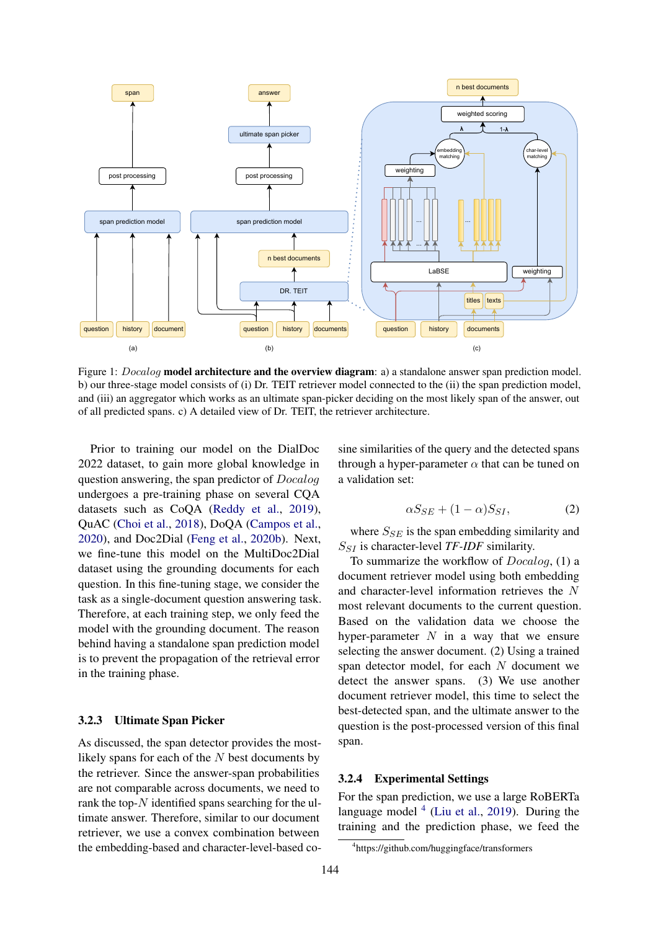<span id="page-2-0"></span>

Figure 1: *Docalog* **model architecture and the overview diagram**: a) a standalone answer span prediction model. b) our three-stage model consists of (i) Dr. TEIT retriever model connected to the (ii) the span prediction model, and (iii) an aggregator which works as an ultimate span-picker deciding on the most likely span of the answer, out of all predicted spans. c) A detailed view of Dr. TEIT, the retriever architecture.

Prior to training our model on the DialDoc 2022 dataset, to gain more global knowledge in question answering, the span predictor of Docalog undergoes a pre-training phase on several CQA datasets such as CoQA [\(Reddy et al.,](#page-4-4) [2019\)](#page-4-4), QuAC [\(Choi et al.,](#page-4-5) [2018\)](#page-4-5), DoQA [\(Campos et al.,](#page-3-2) [2020\)](#page-3-2), and Doc2Dial [\(Feng et al.,](#page-4-6) [2020b\)](#page-4-6). Next, we fine-tune this model on the MultiDoc2Dial dataset using the grounding documents for each question. In this fine-tuning stage, we consider the task as a single-document question answering task. Therefore, at each training step, we only feed the model with the grounding document. The reason behind having a standalone span prediction model is to prevent the propagation of the retrieval error in the training phase.

#### 3.2.3 Ultimate Span Picker

As discussed, the span detector provides the mostlikely spans for each of the N best documents by the retriever. Since the answer-span probabilities are not comparable across documents, we need to rank the top- $N$  identified spans searching for the ultimate answer. Therefore, similar to our document retriever, we use a convex combination between the embedding-based and character-level-based cosine similarities of the query and the detected spans through a hyper-parameter  $\alpha$  that can be tuned on a validation set:

$$
\alpha S_{SE} + (1 - \alpha) S_{SI}, \tag{2}
$$

where  $S_{SE}$  is the span embedding similarity and SSI is character-level *TF-IDF* similarity.

To summarize the workflow of Docalog, (1) a document retriever model using both embedding and character-level information retrieves the N most relevant documents to the current question. Based on the validation data we choose the hyper-parameter  $N$  in a way that we ensure selecting the answer document. (2) Using a trained span detector model, for each  $N$  document we detect the answer spans. (3) We use another document retriever model, this time to select the best-detected span, and the ultimate answer to the question is the post-processed version of this final span.

#### 3.2.4 Experimental Settings

For the span prediction, we use a large RoBERTa language model  $<sup>4</sup>$  $<sup>4</sup>$  $<sup>4</sup>$  [\(Liu et al.,](#page-4-17) [2019\)](#page-4-17). During the</sup> training and the prediction phase, we feed the

<span id="page-2-1"></span><sup>4</sup> https://github.com/huggingface/transformers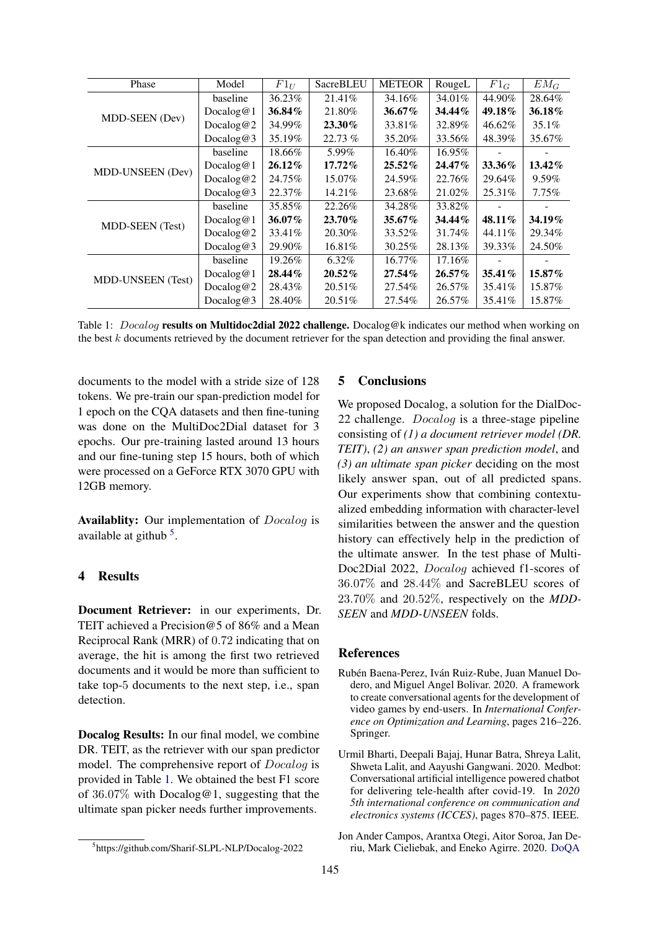<span id="page-3-4"></span>

| Phase                    | Model     | $F1_U$    | <b>SacreBLEU</b> | <b>METEOR</b> | RougeL    | $F1_G$    | $EM_G$   |
|--------------------------|-----------|-----------|------------------|---------------|-----------|-----------|----------|
| MDD-SEEN (Dev)           | baseline  | 36.23%    | 21.41%           | 34.16%        | 34.01%    | 44.90%    | 28.64%   |
|                          | Docalog@1 | 36.84%    | 21.80%           | 36.67%        | 34.44%    | 49.18%    | 36.18%   |
|                          | Docalog@2 | 34.99%    | 23.30%           | 33.81\%       | 32.89%    | 46.62%    | $35.1\%$ |
|                          | Docalog@3 | 35.19%    | 22.73 %          | 35.20%        | 33.56%    | 48.39%    | 35.67%   |
| MDD-UNSEEN (Dev)         | baseline  | 18.66%    | 5.99%            | 16.40%        | 16.95%    |           |          |
|                          | Docalog@1 | $26.12\%$ | $17.72\%$        | $25.52\%$     | $24.47\%$ | 33.36%    | 13.42%   |
|                          | Docalog@2 | 24.75%    | 15.07%           | 24.59%        | 22.76%    | 29.64%    | 9.59%    |
|                          | Docalog@3 | 22.37%    | 14.21%           | 23.68%        | 21.02%    | 25.31%    | $7.75\%$ |
| <b>MDD-SEEN</b> (Test)   | baseline  | 35.85%    | 22.26%           | 34.28%        | 33.82%    |           |          |
|                          | Docalog@1 | 36.07%    | 23.70%           | 35.67%        | 34.44%    | 48.11%    | 34.19%   |
|                          | Docalog@2 | 33.41\%   | 20.30%           | 33.52%        | 31.74%    | 44.11%    | 29.34%   |
|                          | Docalog@3 | 29.90%    | 16.81%           | 30.25%        | 28.13%    | 39.33%    | 24.50%   |
| <b>MDD-UNSEEN</b> (Test) | baseline  | 19.26%    | 6.32%            | 16.77%        | 17.16%    |           |          |
|                          | Docalog@1 | 28.44%    | 20.52%           | 27.54%        | $26.57\%$ | $35.41\%$ | 15.87%   |
|                          | Docalog@2 | 28.43%    | 20.51%           | 27.54%        | 26.57%    | 35.41\%   | 15.87%   |
|                          | Docalog@3 | 28.40%    | 20.51%           | 27.54%        | 26.57%    | 35.41\%   | 15.87%   |

Table 1: *Docalog* **results on Multidoc2dial 2022 challenge.** Docalog@k indicates our method when working on the best k documents retrieved by the document retriever for the span detection and providing the final answer.

documents to the model with a stride size of 128 tokens. We pre-train our span-prediction model for 1 epoch on the CQA datasets and then fine-tuning was done on the MultiDoc2Dial dataset for 3 epochs. Our pre-training lasted around 13 hours and our fine-tuning step 15 hours, both of which were processed on a GeForce RTX 3070 GPU with 12GB memory.

Availablity: Our implementation of Docalog is available at github  $5$ .

## 4 Results

Document Retriever: in our experiments, Dr. TEIT achieved a Precision@5 of 86% and a Mean Reciprocal Rank (MRR) of 0.72 indicating that on average, the hit is among the first two retrieved documents and it would be more than sufficient to take top-5 documents to the next step, i.e., span detection.

Docalog Results: In our final model, we combine DR. TEIT, as the retriever with our span predictor model. The comprehensive report of Docalog is provided in Table [1.](#page-3-4) We obtained the best F1 score of 36.07% with Docalog@1, suggesting that the ultimate span picker needs further improvements.

### 5 Conclusions

We proposed Docalog, a solution for the DialDoc-22 challenge. Docalog is a three-stage pipeline consisting of *(1) a document retriever model (DR. TEIT)*, *(2) an answer span prediction model*, and *(3) an ultimate span picker* deciding on the most likely answer span, out of all predicted spans. Our experiments show that combining contextualized embedding information with character-level similarities between the answer and the question history can effectively help in the prediction of the ultimate answer. In the test phase of Multi-Doc2Dial 2022, Docalog achieved f1-scores of 36.07% and 28.44% and SacreBLEU scores of 23.70% and 20.52%, respectively on the *MDD-SEEN* and *MDD-UNSEEN* folds.

## References

- <span id="page-3-0"></span>Rubén Baena-Perez, Iván Ruiz-Rube, Juan Manuel Dodero, and Miguel Angel Bolivar. 2020. A framework to create conversational agents for the development of video games by end-users. In *International Conference on Optimization and Learning*, pages 216–226. Springer.
- <span id="page-3-1"></span>Urmil Bharti, Deepali Bajaj, Hunar Batra, Shreya Lalit, Shweta Lalit, and Aayushi Gangwani. 2020. Medbot: Conversational artificial intelligence powered chatbot for delivering tele-health after covid-19. In *2020 5th international conference on communication and electronics systems (ICCES)*, pages 870–875. IEEE.
- <span id="page-3-2"></span>Jon Ander Campos, Arantxa Otegi, Aitor Soroa, Jan Deriu, Mark Cieliebak, and Eneko Agirre. 2020. [DoQA](https://doi.org/10.18653/v1/2020.acl-main.652)

<span id="page-3-3"></span><sup>5</sup> https://github.com/Sharif-SLPL-NLP/Docalog-2022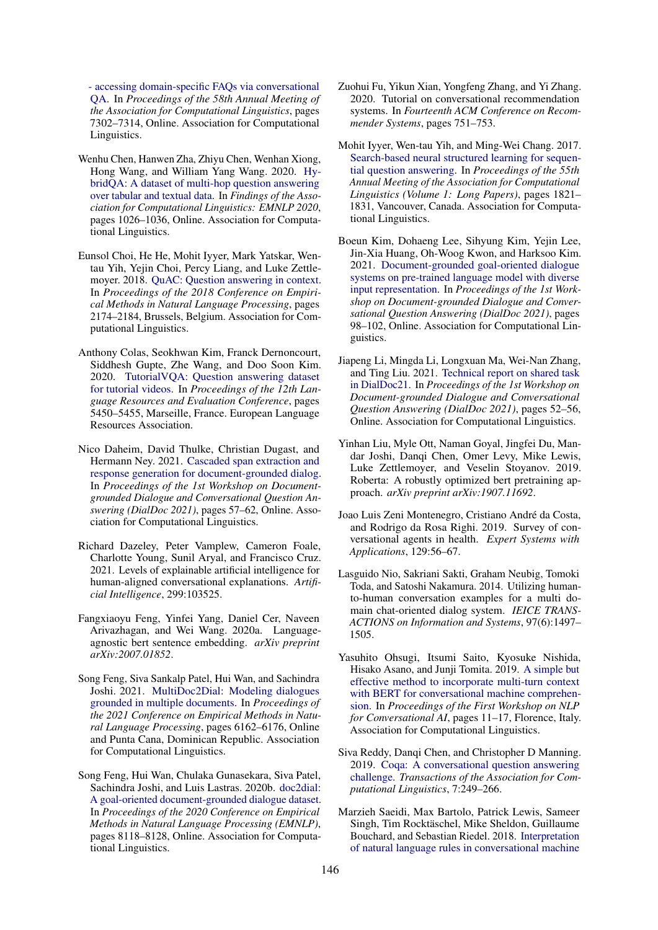[- accessing domain-specific FAQs via conversational](https://doi.org/10.18653/v1/2020.acl-main.652) [QA.](https://doi.org/10.18653/v1/2020.acl-main.652) In *Proceedings of the 58th Annual Meeting of the Association for Computational Linguistics*, pages 7302–7314, Online. Association for Computational Linguistics.

- <span id="page-4-13"></span>Wenhu Chen, Hanwen Zha, Zhiyu Chen, Wenhan Xiong, Hong Wang, and William Yang Wang. 2020. [Hy](https://doi.org/10.18653/v1/2020.findings-emnlp.91)[bridQA: A dataset of multi-hop question answering](https://doi.org/10.18653/v1/2020.findings-emnlp.91) [over tabular and textual data.](https://doi.org/10.18653/v1/2020.findings-emnlp.91) In *Findings of the Association for Computational Linguistics: EMNLP 2020*, pages 1026–1036, Online. Association for Computational Linguistics.
- <span id="page-4-5"></span>Eunsol Choi, He He, Mohit Iyyer, Mark Yatskar, Wentau Yih, Yejin Choi, Percy Liang, and Luke Zettlemoyer. 2018. [QuAC: Question answering in context.](https://doi.org/10.18653/v1/D18-1241) In *Proceedings of the 2018 Conference on Empirical Methods in Natural Language Processing*, pages 2174–2184, Brussels, Belgium. Association for Computational Linguistics.
- <span id="page-4-14"></span>Anthony Colas, Seokhwan Kim, Franck Dernoncourt, Siddhesh Gupte, Zhe Wang, and Doo Soon Kim. 2020. [TutorialVQA: Question answering dataset](https://aclanthology.org/2020.lrec-1.670) [for tutorial videos.](https://aclanthology.org/2020.lrec-1.670) In *Proceedings of the 12th Language Resources and Evaluation Conference*, pages 5450–5455, Marseille, France. European Language Resources Association.
- <span id="page-4-10"></span>Nico Daheim, David Thulke, Christian Dugast, and Hermann Ney. 2021. [Cascaded span extraction and](https://doi.org/10.18653/v1/2021.dialdoc-1.8) [response generation for document-grounded dialog.](https://doi.org/10.18653/v1/2021.dialdoc-1.8) In *Proceedings of the 1st Workshop on Documentgrounded Dialogue and Conversational Question Answering (DialDoc 2021)*, pages 57–62, Online. Association for Computational Linguistics.
- <span id="page-4-1"></span>Richard Dazeley, Peter Vamplew, Cameron Foale, Charlotte Young, Sunil Aryal, and Francisco Cruz. 2021. Levels of explainable artificial intelligence for human-aligned conversational explanations. *Artificial Intelligence*, 299:103525.
- <span id="page-4-15"></span>Fangxiaoyu Feng, Yinfei Yang, Daniel Cer, Naveen Arivazhagan, and Wei Wang. 2020a. Languageagnostic bert sentence embedding. *arXiv preprint arXiv:2007.01852*.
- <span id="page-4-8"></span>Song Feng, Siva Sankalp Patel, Hui Wan, and Sachindra Joshi. 2021. [MultiDoc2Dial: Modeling dialogues](https://doi.org/10.18653/v1/2021.emnlp-main.498) [grounded in multiple documents.](https://doi.org/10.18653/v1/2021.emnlp-main.498) In *Proceedings of the 2021 Conference on Empirical Methods in Natural Language Processing*, pages 6162–6176, Online and Punta Cana, Dominican Republic. Association for Computational Linguistics.
- <span id="page-4-6"></span>Song Feng, Hui Wan, Chulaka Gunasekara, Siva Patel, Sachindra Joshi, and Luis Lastras. 2020b. [doc2dial:](https://doi.org/10.18653/v1/2020.emnlp-main.652) [A goal-oriented document-grounded dialogue dataset.](https://doi.org/10.18653/v1/2020.emnlp-main.652) In *Proceedings of the 2020 Conference on Empirical Methods in Natural Language Processing (EMNLP)*, pages 8118–8128, Online. Association for Computational Linguistics.
- <span id="page-4-2"></span>Zuohui Fu, Yikun Xian, Yongfeng Zhang, and Yi Zhang. 2020. Tutorial on conversational recommendation systems. In *Fourteenth ACM Conference on Recommender Systems*, pages 751–753.
- <span id="page-4-12"></span>Mohit Iyyer, Wen-tau Yih, and Ming-Wei Chang. 2017. [Search-based neural structured learning for sequen](https://doi.org/10.18653/v1/P17-1167)[tial question answering.](https://doi.org/10.18653/v1/P17-1167) In *Proceedings of the 55th Annual Meeting of the Association for Computational Linguistics (Volume 1: Long Papers)*, pages 1821– 1831, Vancouver, Canada. Association for Computational Linguistics.
- <span id="page-4-7"></span>Boeun Kim, Dohaeng Lee, Sihyung Kim, Yejin Lee, Jin-Xia Huang, Oh-Woog Kwon, and Harksoo Kim. 2021. [Document-grounded goal-oriented dialogue](https://doi.org/10.18653/v1/2021.dialdoc-1.12) [systems on pre-trained language model with diverse](https://doi.org/10.18653/v1/2021.dialdoc-1.12) [input representation.](https://doi.org/10.18653/v1/2021.dialdoc-1.12) In *Proceedings of the 1st Workshop on Document-grounded Dialogue and Conversational Question Answering (DialDoc 2021)*, pages 98–102, Online. Association for Computational Linguistics.
- <span id="page-4-9"></span>Jiapeng Li, Mingda Li, Longxuan Ma, Wei-Nan Zhang, and Ting Liu. 2021. [Technical report on shared task](https://doi.org/10.18653/v1/2021.dialdoc-1.7) [in DialDoc21.](https://doi.org/10.18653/v1/2021.dialdoc-1.7) In *Proceedings of the 1st Workshop on Document-grounded Dialogue and Conversational Question Answering (DialDoc 2021)*, pages 52–56, Online. Association for Computational Linguistics.
- <span id="page-4-17"></span>Yinhan Liu, Myle Ott, Naman Goyal, Jingfei Du, Mandar Joshi, Danqi Chen, Omer Levy, Mike Lewis, Luke Zettlemoyer, and Veselin Stoyanov. 2019. Roberta: A robustly optimized bert pretraining approach. *arXiv preprint arXiv:1907.11692*.
- <span id="page-4-0"></span>Joao Luis Zeni Montenegro, Cristiano André da Costa, and Rodrigo da Rosa Righi. 2019. Survey of conversational agents in health. *Expert Systems with Applications*, 129:56–67.
- <span id="page-4-3"></span>Lasguido Nio, Sakriani Sakti, Graham Neubig, Tomoki Toda, and Satoshi Nakamura. 2014. Utilizing humanto-human conversation examples for a multi domain chat-oriented dialog system. *IEICE TRANS-ACTIONS on Information and Systems*, 97(6):1497– 1505.
- <span id="page-4-16"></span>Yasuhito Ohsugi, Itsumi Saito, Kyosuke Nishida, Hisako Asano, and Junji Tomita. 2019. [A simple but](https://doi.org/10.18653/v1/W19-4102) [effective method to incorporate multi-turn context](https://doi.org/10.18653/v1/W19-4102) [with BERT for conversational machine comprehen](https://doi.org/10.18653/v1/W19-4102)[sion.](https://doi.org/10.18653/v1/W19-4102) In *Proceedings of the First Workshop on NLP for Conversational AI*, pages 11–17, Florence, Italy. Association for Computational Linguistics.
- <span id="page-4-4"></span>Siva Reddy, Danqi Chen, and Christopher D Manning. 2019. [Coqa: A conversational question answering](https://doi.org/10.1162/tacl_a_00266) [challenge.](https://doi.org/10.1162/tacl_a_00266) *Transactions of the Association for Computational Linguistics*, 7:249–266.
- <span id="page-4-11"></span>Marzieh Saeidi, Max Bartolo, Patrick Lewis, Sameer Singh, Tim Rocktäschel, Mike Sheldon, Guillaume Bouchard, and Sebastian Riedel. 2018. [Interpretation](https://doi.org/10.18653/v1/D18-1233) [of natural language rules in conversational machine](https://doi.org/10.18653/v1/D18-1233)